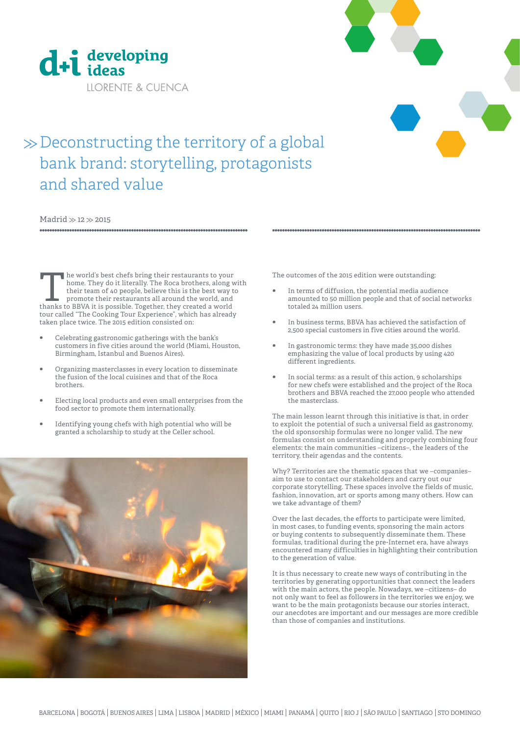



# $\gg$  Deconstructing the territory of a global bank brand: storytelling, protagonists and shared value

Madrid  $\gg$  12  $\gg$  2015

The world's best chefs bring their restaurants to your home. They do it literally. The Roca brothers, along vehicle their restaurants all around the world, and thanks to BBVA it is possible. Together, they created a world home. They do it literally. The Roca brothers, along with their team of 40 people, believe this is the best way to promote their restaurants all around the world, and thanks to BBVA it is possible. Together, they created a world tour called "The Cooking Tour Experience", which has already taken place twice. The 2015 edition consisted on:

- **•** Celebrating gastronomic gatherings with the bank's customers in five cities around the world (Miami, Houston, Birmingham, Istanbul and Buenos Aires).
- **•** Organizing masterclasses in every location to disseminate the fusion of the local cuisines and that of the Roca brothers.
- **•** Electing local products and even small enterprises from the food sector to promote them internationally.
- **•** Identifying young chefs with high potential who will be granted a scholarship to study at the Celler school.



The outcomes of the 2015 edition were outstanding:

**•** In terms of diffusion, the potential media audience amounted to 50 million people and that of social networks totaled 24 million users.

- **•** In business terms, BBVA has achieved the satisfaction of 2,500 special customers in five cities around the world.
- **•** In gastronomic terms: they have made 35,000 dishes emphasizing the value of local products by using 420 different ingredients.
- **•** In social terms: as a result of this action, 9 scholarships for new chefs were established and the project of the Roca brothers and BBVA reached the 27,000 people who attended the masterclass.

The main lesson learnt through this initiative is that, in order to exploit the potential of such a universal field as gastronomy, the old sponsorship formulas were no longer valid. The new formulas consist on understanding and properly combining four elements: the main communities –citizens–, the leaders of the territory, their agendas and the contents.

Why? Territories are the thematic spaces that we –companies– aim to use to contact our stakeholders and carry out our corporate storytelling. These spaces involve the fields of music, fashion, innovation, art or sports among many others. How can we take advantage of them?

Over the last decades, the efforts to participate were limited, in most cases, to funding events, sponsoring the main actors or buying contents to subsequently disseminate them. These formulas, traditional during the pre-Internet era, have always encountered many difficulties in highlighting their contribution to the generation of value.

It is thus necessary to create new ways of contributing in the territories by generating opportunities that connect the leaders with the main actors, the people. Nowadays, we –citizens– do not only want to feel as followers in the territories we enjoy, we want to be the main protagonists because our stories interact, our anecdotes are important and our messages are more credible than those of companies and institutions.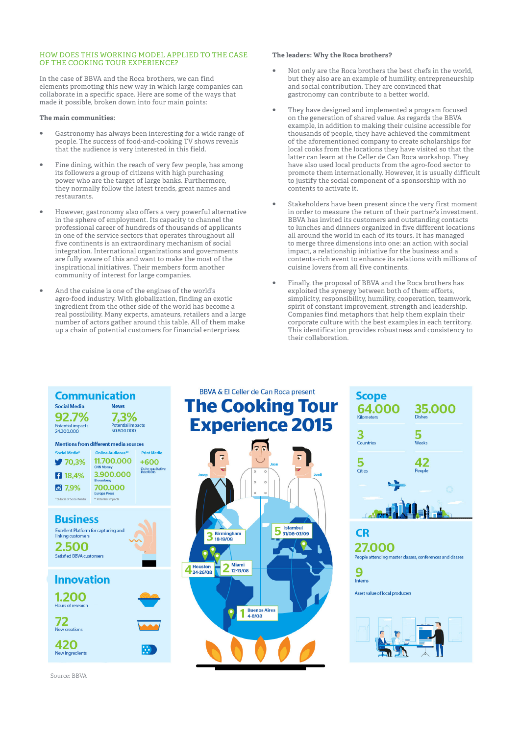#### HOW DOES THIS WORKING MODEL APPLIED TO THE CASE OF THE COOKING TOUR EXPERIENCE?

In the case of BBVA and the Roca brothers, we can find elements promoting this new way in which large companies can collaborate in a specific space. Here are some of the ways that made it possible, broken down into four main points:

#### **The main communities:**

- **•** Gastronomy has always been interesting for a wide range of people. The success of food-and-cooking TV shows reveals that the audience is very interested in this field.
- **•** Fine dining, within the reach of very few people, has among its followers a group of citizens with high purchasing power who are the target of large banks. Furthermore, they normally follow the latest trends, great names and restaurants.
- **•** However, gastronomy also offers a very powerful alternative in the sphere of employment. Its capacity to channel the professional career of hundreds of thousands of applicants in one of the service sectors that operates throughout all five continents is an extraordinary mechanism of social integration. International organizations and governments are fully aware of this and want to make the most of the inspirational initiatives. Their members form another community of interest for large companies.
- **•** And the cuisine is one of the engines of the world's agro-food industry. With globalization, finding an exotic ingredient from the other side of the world has become a real possibility. Many experts, amateurs, retailers and a large number of actors gather around this table. All of them make up a chain of potential customers for financial enterprises.

#### **The leaders: Why the Roca brothers?**

- **•** Not only are the Roca brothers the best chefs in the world, but they also are an example of humility, entrepreneurship and social contribution. They are convinced that gastronomy can contribute to a better world.
- **•** They have designed and implemented a program focused on the generation of shared value. As regards the BBVA example, in addition to making their cuisine accessible for thousands of people, they have achieved the commitment of the aforementioned company to create scholarships for local cooks from the locations they have visited so that the latter can learn at the Celler de Can Roca workshop. They have also used local products from the agro-food sector to promote them internationally. However, it is usually difficult to justify the social component of a sponsorship with no contents to activate it.
- **•** Stakeholders have been present since the very first moment in order to measure the return of their partner's investment. BBVA has invited its customers and outstanding contacts to lunches and dinners organized in five different locations all around the world in each of its tours. It has managed to merge three dimensions into one: an action with social impact, a relationship initiative for the business and a contents-rich event to enhance its relations with millions of cuisine lovers from all five continents.
- **•** Finally, the proposal of BBVA and the Roca brothers has exploited the synergy between both of them: efforts, simplicity, responsibility, humility, cooperation, teamwork, spirit of constant improvement, strength and leadership. Companies find metaphors that help them explain their corporate culture with the best examples in each territory. This identification provides robustness and consistency to their collaboration.



Source: BBVA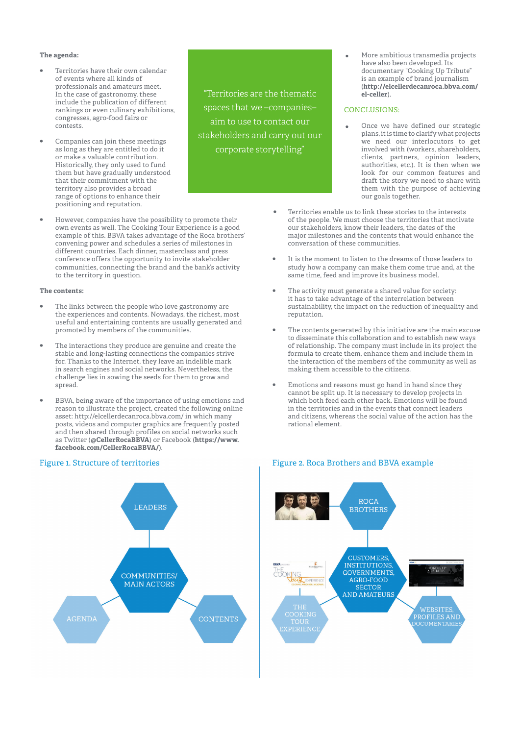#### **The agenda:**

- **•** Territories have their own calendar of events where all kinds of professionals and amateurs meet. In the case of gastronomy, these include the publication of different rankings or even culinary exhibitions, congresses, agro-food fairs or contests.
- **•** Companies can join these meetings as long as they are entitled to do it or make a valuable contribution. Historically, they only used to fund them but have gradually understood that their commitment with the territory also provides a broad range of options to enhance their positioning and reputation.
- **•** However, companies have the possibility to promote their own events as well. The Cooking Tour Experience is a good example of this. BBVA takes advantage of the Roca brothers' convening power and schedules a series of milestones in different countries. Each dinner, masterclass and press conference offers the opportunity to invite stakeholder communities, connecting the brand and the bank's activity to the territory in question.

#### **The contents:**

- **•** The links between the people who love gastronomy are the experiences and contents. Nowadays, the richest, most useful and entertaining contents are usually generated and promoted by members of the communities.
- **•** The interactions they produce are genuine and create the stable and long-lasting connections the companies strive for. Thanks to the Internet, they leave an indelible mark in search engines and social networks. Nevertheless, the challenge lies in sowing the seeds for them to grow and spread.
- **•** BBVA, being aware of the importance of using emotions and reason to illustrate the project, created the following online asset: http://elcellerdecanroca.bbva.com/ in which many posts, videos and computer graphics are frequently posted and then shared through profiles on social networks such as Twitter (**@CellerRocaBBVA**) or Facebook (**https://www. facebook.com/CellerRocaBBVA/**).



## "Territories are the thematic spaces that we –companies– aim to use to contact our stakeholders and carry out our corporate storytelling"

More ambitious transmedia projects have also been developed. Its documentary "Cooking Up Tribute" is an example of brand journalism (**http://elcellerdecanroca.bbva.com/ el-celler**).

#### CONCLUSIONS:

- Once we have defined our strategic plans, it is time to clarify what projects we need our interlocutors to get involved with (workers, shareholders, clients, partners, opinion leaders, authorities, etc.). It is then when we look for our common features and draft the story we need to share with them with the purpose of achieving our goals together.
- **•** Territories enable us to link these stories to the interests of the people. We must choose the territories that motivate our stakeholders, know their leaders, the dates of the major milestones and the contents that would enhance the conversation of these communities.
- **•** It is the moment to listen to the dreams of those leaders to study how a company can make them come true and, at the same time, feed and improve its business model.
- **•** The activity must generate a shared value for society: it has to take advantage of the interrelation between sustainability, the impact on the reduction of inequality and reputation.
- **•** The contents generated by this initiative are the main excuse to disseminate this collaboration and to establish new ways of relationship. The company must include in its project the formula to create them, enhance them and include them in the interaction of the members of the community as well as making them accessible to the citizens.
- **•** Emotions and reasons must go hand in hand since they cannot be split up. It is necessary to develop projects in which both feed each other back. Emotions will be found in the territories and in the events that connect leaders and citizens, whereas the social value of the action has the rational element.



### Figure 1. Structure of territories Figure 2. Roca Brothers and BBVA example